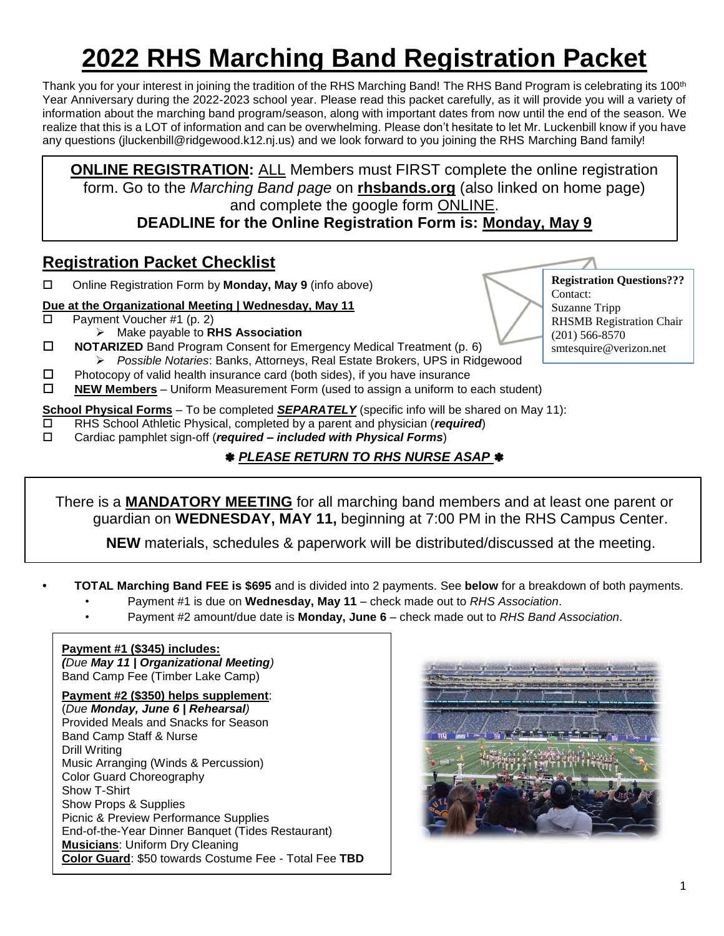## **2022 RHS Marching Band Registration Packet**

Thank you for your interest in joining the tradition of the RHS Marching Band! The RHS Band Program is celebrating its 100<sup>th</sup> Year Anniversary during the 2022-2023 school year. Please read this packet carefully, as it will provide you will a variety of information about the marching band program/season, along with important dates from now until the end of the season. We realize that this is a LOT of information and can be overwhelming. Please don't hesitate to let Mr. Luckenbill know if you have any questions (jluckenbill@ridgewood.k12.nj.us) and we look forward to you joining the RHS Marching Band family!

**ONLINE REGISTRATION:** ALL Members must FIRST complete the online registration form. Go to the *Marching Band page* on **rhsbands.org** (also linked on home page) and complete the google form ONLINE.

**DEADLINE for the Online Registration Form is: Monday, May 9** 

### **Registration Packet Checklist**

Online Registration Form by **Monday, May 9** (info above)

#### **Due at the Organizational Meeting | Wednesday, May 11**

- $\Box$  Payment Voucher #1 (p. 2)
	- ➢ Make payable to **RHS Association**
- **NOTARIZED** Band Program Consent for Emergency Medical Treatment (p. 6)
	- ➢ *Possible Notaries*: Banks, Attorneys, Real Estate Brokers, UPS in Ridgewood
- $\Box$  Photocopy of valid health insurance card (both sides), if you have insurance
- **NEW Members** Uniform Measurement Form (used to assign a uniform to each student)

**School Physical Forms** – To be completed *SEPARATELY* (specific info will be shared on May 11):

- RHS School Athletic Physical, completed by a parent and physician (*required*)
- Cardiac pamphlet sign-off (*required – included with Physical Forms*)

#### *PLEASE RETURN TO RHS NURSE ASAP*

There is a **MANDATORY MEETING** for all marching band members and at least one parent or guardian on **WEDNESDAY, MAY 11,** beginning at 7:00 PM in the RHS Campus Center.

 **NEW** materials, schedules & paperwork will be distributed/discussed at the meeting.

- **TOTAL Marching Band FEE is \$695** and is divided into 2 payments. See **below** for a breakdown of both payments.
	- Payment #1 is due on **Wednesday, May 11** check made out to *RHS Association*.
	- Payment #2 amount/due date is **Monday, June 6** check made out to *RHS Band Association*.

#### **Payment #1 (\$345) includes:**

*(Due May 11 | Organizational Meeting)*  Band Camp Fee (Timber Lake Camp)

**Payment #2 (\$350) helps supplement**:

(*Due Monday, June 6 | Rehearsal)* Provided Meals and Snacks for Season Band Camp Staff & Nurse Drill Writing Music Arranging (Winds & Percussion) Color Guard Choreography Show T-Shirt Show Props & Supplies Picnic & Preview Performance Supplies End-of-the-Year Dinner Banquet (Tides Restaurant) **Musicians**: Uniform Dry Cleaning **Color Guard**: \$50 towards Costume Fee - Total Fee **TBD**



**Registration Questions???** Contact: Suzanne Tripp RHSMB Registration Chair (201) 566-8570 smtesquire@verizon.net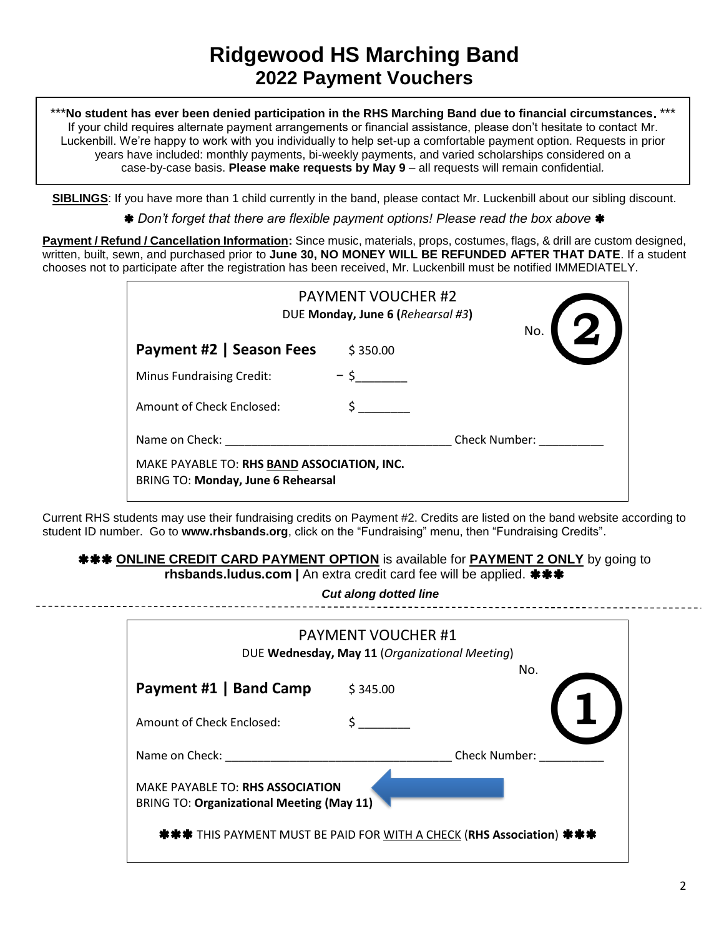**\*\*\*No student has ever been denied participation in the RHS Marching Band due to financial circumstances. \*\*\*** If your child requires alternate payment arrangements or financial assistance, please don't hesitate to contact Mr. Luckenbill. We're happy to work with you individually to help set-up a comfortable payment option. Requests in prior years have included: monthly payments, bi-weekly payments, and varied scholarships considered on a case-by-case basis. **Please make requests by May 9** – all requests will remain confidential*.*

**SIBLINGS**: If you have more than 1 child currently in the band, please contact Mr. Luckenbill about our sibling discount.

*Don't forget that there are flexible payment options! Please read the box above*

**Payment / Refund / Cancellation Information:** Since music, materials, props, costumes, flags, & drill are custom designed, written, built, sewn, and purchased prior to **June 30, NO MONEY WILL BE REFUNDED AFTER THAT DATE**. If a student chooses not to participate after the registration has been received, Mr. Luckenbill must be notified IMMEDIATELY.

|                                                                                   | <b>PAYMENT VOUCHER #2</b><br>DUE Monday, June 6 (Rehearsal #3) |                      |  |
|-----------------------------------------------------------------------------------|----------------------------------------------------------------|----------------------|--|
| Payment #2   Season Fees                                                          | \$350.00                                                       |                      |  |
| <b>Minus Fundraising Credit:</b>                                                  |                                                                |                      |  |
| Amount of Check Enclosed:                                                         |                                                                |                      |  |
| Name on Check:                                                                    |                                                                | <b>Check Number:</b> |  |
| MAKE PAYABLE TO: RHS BAND ASSOCIATION, INC.<br>BRING TO: Monday, June 6 Rehearsal |                                                                |                      |  |

Current RHS students may use their fundraising credits on Payment #2. Credits are listed on the band website according to student ID number. Go to www.rhsbands.org, click on the "Fundraising" menu, then "Fundraising Credits".

#### **\*\*\* ONLINE CREDIT CARD PAYMENT OPTION** is available for **PAYMENT 2 ONLY** by going to

**rhsbands.ludus.com |** An extra credit card fee will be applied.

*Cut along dotted line*

|                                                                                      | <b>PAYMENT VOUCHER #1</b><br>DUE Wednesday, May 11 (Organizational Meeting) |               |
|--------------------------------------------------------------------------------------|-----------------------------------------------------------------------------|---------------|
| Payment #1   Band Camp                                                               | \$345.00                                                                    | No.           |
| Amount of Check Enclosed:                                                            |                                                                             |               |
| Name on Check:                                                                       |                                                                             | Check Number: |
| MAKE PAYABLE TO: RHS ASSOCIATION<br><b>BRING TO: Organizational Meeting (May 11)</b> |                                                                             |               |
| <b>****</b> THIS PAYMENT MUST BE PAID FOR WITH A CHECK (RHS Association) ***         |                                                                             |               |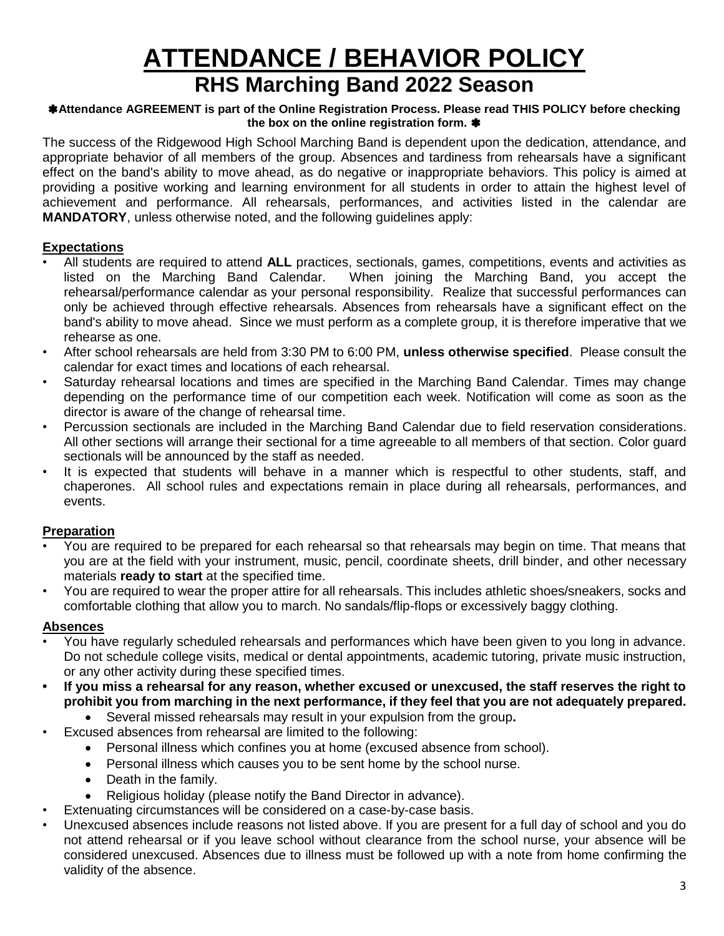## **ATTENDANCE / BEHAVIOR POLICY RHS Marching Band 2022 Season**

#### **Attendance AGREEMENT is part of the Online Registration Process. Please read THIS POLICY before checking the box on the online registration form.**

The success of the Ridgewood High School Marching Band is dependent upon the dedication, attendance, and appropriate behavior of all members of the group. Absences and tardiness from rehearsals have a significant effect on the band's ability to move ahead, as do negative or inappropriate behaviors. This policy is aimed at providing a positive working and learning environment for all students in order to attain the highest level of achievement and performance. All rehearsals, performances, and activities listed in the calendar are **MANDATORY**, unless otherwise noted, and the following guidelines apply:

#### **Expectations**

- All students are required to attend **ALL** practices, sectionals, games, competitions, events and activities as listed on the Marching Band Calendar. When joining the Marching Band, you accept the rehearsal/performance calendar as your personal responsibility. Realize that successful performances can only be achieved through effective rehearsals. Absences from rehearsals have a significant effect on the band's ability to move ahead. Since we must perform as a complete group, it is therefore imperative that we rehearse as one.
- After school rehearsals are held from 3:30 PM to 6:00 PM, **unless otherwise specified**. Please consult the calendar for exact times and locations of each rehearsal.
- Saturday rehearsal locations and times are specified in the Marching Band Calendar. Times may change depending on the performance time of our competition each week. Notification will come as soon as the director is aware of the change of rehearsal time.
- Percussion sectionals are included in the Marching Band Calendar due to field reservation considerations. All other sections will arrange their sectional for a time agreeable to all members of that section. Color guard sectionals will be announced by the staff as needed.
- It is expected that students will behave in a manner which is respectful to other students, staff, and chaperones. All school rules and expectations remain in place during all rehearsals, performances, and events.

#### **Preparation**

- You are required to be prepared for each rehearsal so that rehearsals may begin on time. That means that you are at the field with your instrument, music, pencil, coordinate sheets, drill binder, and other necessary materials **ready to start** at the specified time.
- You are required to wear the proper attire for all rehearsals. This includes athletic shoes/sneakers, socks and comfortable clothing that allow you to march. No sandals/flip-flops or excessively baggy clothing.

#### **Absences**

- You have regularly scheduled rehearsals and performances which have been given to you long in advance. Do not schedule college visits, medical or dental appointments, academic tutoring, private music instruction, or any other activity during these specified times.
- **If you miss a rehearsal for any reason, whether excused or unexcused, the staff reserves the right to prohibit you from marching in the next performance, if they feel that you are not adequately prepared.**
	- Several missed rehearsals may result in your expulsion from the group**.**
- Excused absences from rehearsal are limited to the following:
	- Personal illness which confines you at home (excused absence from school).
	- Personal illness which causes you to be sent home by the school nurse.
	- Death in the family.
	- Religious holiday (please notify the Band Director in advance).
	- Extenuating circumstances will be considered on a case-by-case basis.
- Unexcused absences include reasons not listed above. If you are present for a full day of school and you do not attend rehearsal or if you leave school without clearance from the school nurse, your absence will be considered unexcused. Absences due to illness must be followed up with a note from home confirming the validity of the absence.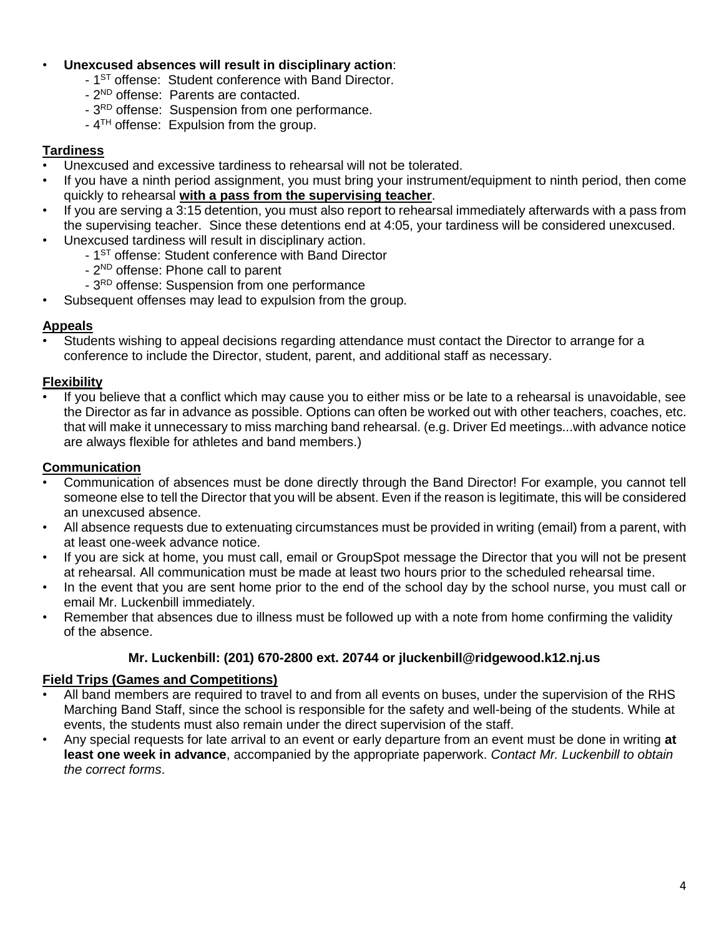#### • **Unexcused absences will result in disciplinary action**:

- 1<sup>ST</sup> offense: Student conference with Band Director.
- 2<sup>ND</sup> offense: Parents are contacted.
- 3<sup>RD</sup> offense: Suspension from one performance.
- $-4$ <sup>TH</sup> offense: Expulsion from the group.

#### **Tardiness**

- Unexcused and excessive tardiness to rehearsal will not be tolerated.
- If you have a ninth period assignment, you must bring your instrument/equipment to ninth period, then come quickly to rehearsal **with a pass from the supervising teacher**.
- If you are serving a 3:15 detention, you must also report to rehearsal immediately afterwards with a pass from the supervising teacher. Since these detentions end at 4:05, your tardiness will be considered unexcused.
- Unexcused tardiness will result in disciplinary action.
	- 1<sup>ST</sup> offense: Student conference with Band Director
	- 2<sup>ND</sup> offense: Phone call to parent
	- 3<sup>RD</sup> offense: Suspension from one performance
- Subsequent offenses may lead to expulsion from the group.

#### **Appeals**

• Students wishing to appeal decisions regarding attendance must contact the Director to arrange for a conference to include the Director, student, parent, and additional staff as necessary.

#### **Flexibility**

• If you believe that a conflict which may cause you to either miss or be late to a rehearsal is unavoidable, see the Director as far in advance as possible. Options can often be worked out with other teachers, coaches, etc. that will make it unnecessary to miss marching band rehearsal. (e.g. Driver Ed meetings...with advance notice are always flexible for athletes and band members.)

#### **Communication**

- Communication of absences must be done directly through the Band Director! For example, you cannot tell someone else to tell the Director that you will be absent. Even if the reason is legitimate, this will be considered an unexcused absence.
- All absence requests due to extenuating circumstances must be provided in writing (email) from a parent, with at least one-week advance notice.
- If you are sick at home, you must call, email or GroupSpot message the Director that you will not be present at rehearsal. All communication must be made at least two hours prior to the scheduled rehearsal time.
- In the event that you are sent home prior to the end of the school day by the school nurse, you must call or email Mr. Luckenbill immediately.
- Remember that absences due to illness must be followed up with a note from home confirming the validity of the absence.

#### **Mr. Luckenbill: (201) 670-2800 ext. 20744 or jluckenbill@ridgewood.k12.nj.us**

#### **Field Trips (Games and Competitions)**

- All band members are required to travel to and from all events on buses, under the supervision of the RHS Marching Band Staff, since the school is responsible for the safety and well-being of the students. While at events, the students must also remain under the direct supervision of the staff.
- Any special requests for late arrival to an event or early departure from an event must be done in writing **at least one week in advance**, accompanied by the appropriate paperwork. *Contact Mr. Luckenbill to obtain the correct forms*.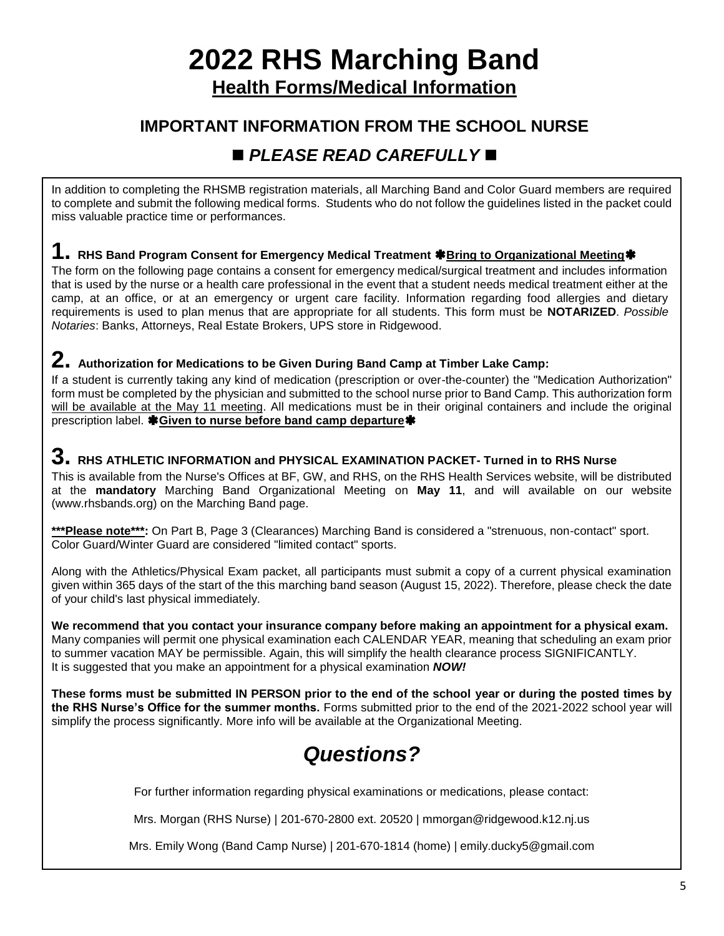# **2022 RHS Marching Band**

**Health Forms/Medical Information**

### **IMPORTANT INFORMATION FROM THE SCHOOL NURSE**

## ◼ *PLEASE READ CAREFULLY* ◼

In addition to completing the RHSMB registration materials, all Marching Band and Color Guard members are required to complete and submit the following medical forms. Students who do not follow the guidelines listed in the packet could miss valuable practice time or performances.

### 1. RHS Band Program Consent for Emergency Medical Treatment **\***Bring to Organizational Meeting \*

The form on the following page contains a consent for emergency medical/surgical treatment and includes information that is used by the nurse or a health care professional in the event that a student needs medical treatment either at the camp, at an office, or at an emergency or urgent care facility. Information regarding food allergies and dietary requirements is used to plan menus that are appropriate for all students. This form must be **NOTARIZED**. *Possible Notaries*: Banks, Attorneys, Real Estate Brokers, UPS store in Ridgewood.

### **2. Authorization for Medications to be Given During Band Camp at Timber Lake Camp:**

If a student is currently taking any kind of medication (prescription or over-the-counter) the "Medication Authorization" form must be completed by the physician and submitted to the school nurse prior to Band Camp. This authorization form will be available at the May 11 meeting. All medications must be in their original containers and include the original prescription label. **非Given to nurse before band camp departure** 

#### **3. RHS ATHLETIC INFORMATION and PHYSICAL EXAMINATION PACKET- Turned in to RHS Nurse**

This is available from the Nurse's Offices at BF, GW, and RHS, on the RHS Health Services website, will be distributed at the **mandatory** Marching Band Organizational Meeting on **May 11**, and will available on our website (www.rhsbands.org) on the Marching Band page.

\*\*\*Please note\*\*\*: On Part B, Page 3 (Clearances) Marching Band is considered a "strenuous, non-contact" sport. Color Guard/Winter Guard are considered "limited contact" sports.

Along with the Athletics/Physical Exam packet, all participants must submit a copy of a current physical examination given within 365 days of the start of the this marching band season (August 15, 2022). Therefore, please check the date of your child's last physical immediately.

**We recommend that you contact your insurance company before making an appointment for a physical exam.** Many companies will permit one physical examination each CALENDAR YEAR, meaning that scheduling an exam prior to summer vacation MAY be permissible. Again, this will simplify the health clearance process SIGNIFICANTLY. It is suggested that you make an appointment for a physical examination *NOW!*

**These forms must be submitted IN PERSON prior to the end of the school year or during the posted times by the RHS Nurse's Office for the summer months.** Forms submitted prior to the end of the 2021-2022 school year will simplify the process significantly. More info will be available at the Organizational Meeting.

## *Questions?*

For further information regarding physical examinations or medications, please contact:

Mrs. Morgan (RHS Nurse) | 201-670-2800 ext. 20520 | mmorgan@ridgewood.k12.nj.us

Mrs. Emily Wong (Band Camp Nurse) | 201-670-1814 (home) | emily.ducky5@gmail.com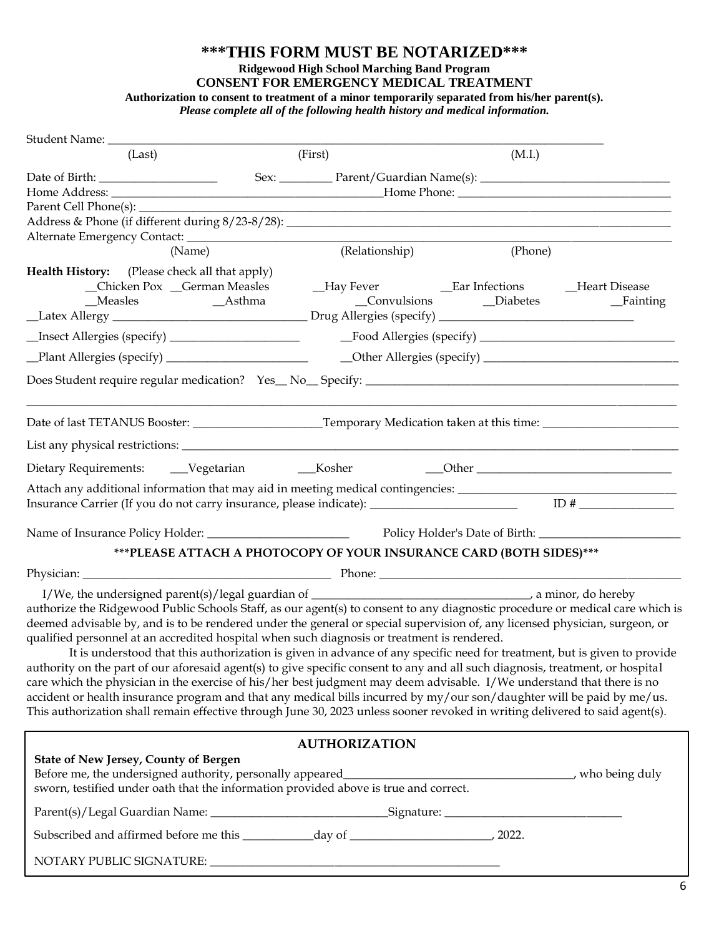#### **\*\*\*THIS FORM MUST BE NOTARIZED\*\*\***

#### **Ridgewood High School Marching Band Program**

**CONSENT FOR EMERGENCY MEDICAL TREATMENT**

**Authorization to consent to treatment of a minor temporarily separated from his/her parent(s).**

*Please complete all of the following health history and medical information.*

| (Last)                                                                                                                                                                                        |                                                    | (First)                                                             | (M.I.)                          |                             |
|-----------------------------------------------------------------------------------------------------------------------------------------------------------------------------------------------|----------------------------------------------------|---------------------------------------------------------------------|---------------------------------|-----------------------------|
|                                                                                                                                                                                               |                                                    |                                                                     |                                 |                             |
|                                                                                                                                                                                               |                                                    |                                                                     |                                 |                             |
|                                                                                                                                                                                               |                                                    |                                                                     |                                 |                             |
|                                                                                                                                                                                               |                                                    |                                                                     |                                 |                             |
|                                                                                                                                                                                               |                                                    |                                                                     |                                 |                             |
| (Name)                                                                                                                                                                                        |                                                    | (Relationship)                                                      | (Phone)                         |                             |
| Health History: (Please check all that apply)                                                                                                                                                 |                                                    |                                                                     |                                 |                             |
| _Chicken Pox _German Measles                                                                                                                                                                  |                                                    |                                                                     |                                 |                             |
|                                                                                                                                                                                               |                                                    |                                                                     | _Convulsions __________Diabetes | <b>Example 1</b> Fainting   |
|                                                                                                                                                                                               |                                                    |                                                                     |                                 |                             |
|                                                                                                                                                                                               |                                                    |                                                                     |                                 |                             |
|                                                                                                                                                                                               | Plant Allergies (specify) ________________________ |                                                                     |                                 |                             |
|                                                                                                                                                                                               |                                                    |                                                                     |                                 |                             |
|                                                                                                                                                                                               |                                                    |                                                                     |                                 |                             |
|                                                                                                                                                                                               |                                                    |                                                                     |                                 |                             |
|                                                                                                                                                                                               |                                                    |                                                                     |                                 | $\sqrt{ }$ Other $\sqrt{ }$ |
|                                                                                                                                                                                               |                                                    |                                                                     |                                 |                             |
| Attach any additional information that may aid in meeting medical contingencies: _____________________________<br>Insurance Carrier (If you do not carry insurance, please indicate): ID# ID# |                                                    |                                                                     |                                 |                             |
|                                                                                                                                                                                               |                                                    |                                                                     |                                 |                             |
|                                                                                                                                                                                               |                                                    |                                                                     |                                 |                             |
|                                                                                                                                                                                               |                                                    | ***PLEASE ATTACH A PHOTOCOPY OF YOUR INSURANCE CARD (BOTH SIDES)*** |                                 |                             |
|                                                                                                                                                                                               |                                                    |                                                                     |                                 |                             |
|                                                                                                                                                                                               |                                                    |                                                                     |                                 |                             |
| authorize the Ridgewood Public Schools Staff, as our agent(s) to consent to any diagnostic procedure or medical care which is                                                                 |                                                    |                                                                     |                                 |                             |
| deemed advisable by, and is to be rendered under the general or special supervision of, any licensed physician, surgeon, or                                                                   |                                                    |                                                                     |                                 |                             |
| qualified personnel at an accredited hospital when such diagnosis or treatment is rendered.                                                                                                   |                                                    |                                                                     |                                 |                             |
| It is understood that this authorization is given in advance of any specific need for treatment, but is given to provide                                                                      |                                                    |                                                                     |                                 |                             |
| authority on the part of our aforesaid agent(s) to give specific consent to any and all such diagnosis, treatment, or hospital                                                                |                                                    |                                                                     |                                 |                             |
| care which the physician in the exercise of his/her best judgment may deem advisable. I/We understand that there is no                                                                        |                                                    |                                                                     |                                 |                             |
| accident or health insurance program and that any medical bills incurred by my/our son/daughter will be paid by me/us.                                                                        |                                                    |                                                                     |                                 |                             |
| This authorization shall remain effective through June 30, 2023 unless sooner revoked in writing delivered to said agent(s).                                                                  |                                                    |                                                                     |                                 |                             |
|                                                                                                                                                                                               |                                                    | <b>AUTHORIZATION</b>                                                |                                 |                             |
| State of New Jersey, County of Bergen                                                                                                                                                         |                                                    |                                                                     |                                 |                             |
|                                                                                                                                                                                               |                                                    |                                                                     |                                 |                             |
| sworn, testified under oath that the information provided above is true and correct.                                                                                                          |                                                    |                                                                     |                                 |                             |
|                                                                                                                                                                                               |                                                    |                                                                     |                                 |                             |
|                                                                                                                                                                                               |                                                    |                                                                     |                                 |                             |
|                                                                                                                                                                                               |                                                    |                                                                     |                                 |                             |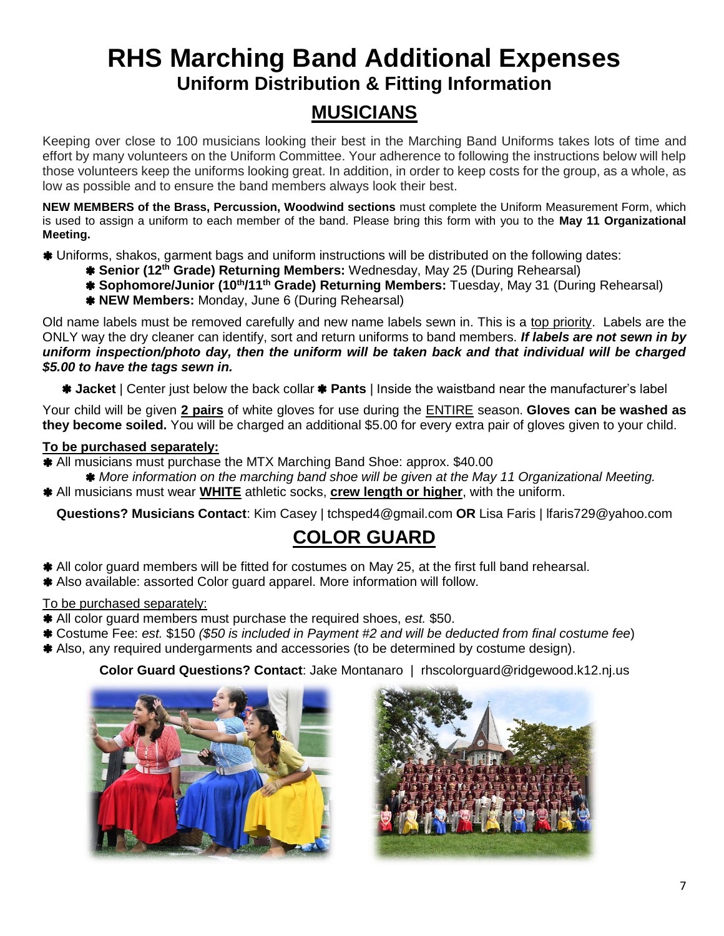## **RHS Marching Band Additional Expenses Uniform Distribution & Fitting Information**

### **MUSICIANS**

Keeping over close to 100 musicians looking their best in the Marching Band Uniforms takes lots of time and effort by many volunteers on the Uniform Committee. Your adherence to following the instructions below will help those volunteers keep the uniforms looking great. In addition, in order to keep costs for the group, as a whole, as low as possible and to ensure the band members always look their best.

**NEW MEMBERS of the Brass, Percussion, Woodwind sections** must complete the Uniform Measurement Form, which is used to assign a uniform to each member of the band. Please bring this form with you to the **May 11 Organizational Meeting.**

- Uniforms, shakos, garment bags and uniform instructions will be distributed on the following dates:
	- **Senior (12th Grade) Returning Members:** Wednesday, May 25 (During Rehearsal)
	- **Sophomore/Junior (10th/11th Grade) Returning Members:** Tuesday, May 31 (During Rehearsal)
	- **NEW Members:** Monday, June 6 (During Rehearsal)

Old name labels must be removed carefully and new name labels sewn in. This is a top priority. Labels are the ONLY way the dry cleaner can identify, sort and return uniforms to band members. *If labels are not sewn in by uniform inspection/photo day, then the uniform will be taken back and that individual will be charged \$5.00 to have the tags sewn in.*

**Jacket** | Center just below the back collar **Pants** | Inside the waistband near the manufacturer's label

Your child will be given **2 pairs** of white gloves for use during the ENTIRE season. **Gloves can be washed as they become soiled.** You will be charged an additional \$5.00 for every extra pair of gloves given to your child.

#### **To be purchased separately:**

All musicians must purchase the MTX Marching Band Shoe: approx. \$40.00

- *More information on the marching band shoe will be given at the May 11 Organizational Meeting.*
- All musicians must wear **WHITE** athletic socks, **crew length or higher**, with the uniform.

**Questions? Musicians Contact**: Kim Casey | tchsped4@gmail.com **OR** Lisa Faris | lfaris729@yahoo.com

## **COLOR GUARD**

- All color guard members will be fitted for costumes on May 25, at the first full band rehearsal.
- Also available: assorted Color guard apparel. More information will follow.

#### To be purchased separately:

- All color guard members must purchase the required shoes, *est.* \$50.
- Costume Fee: *est.* \$150 *(\$50 is included in Payment #2 and will be deducted from final costume fee*)
- Also, any required undergarments and accessories (to be determined by costume design).

#### **Color Guard Questions? Contact**: Jake Montanaro | rhscolorguard@ridgewood.k12.nj.us



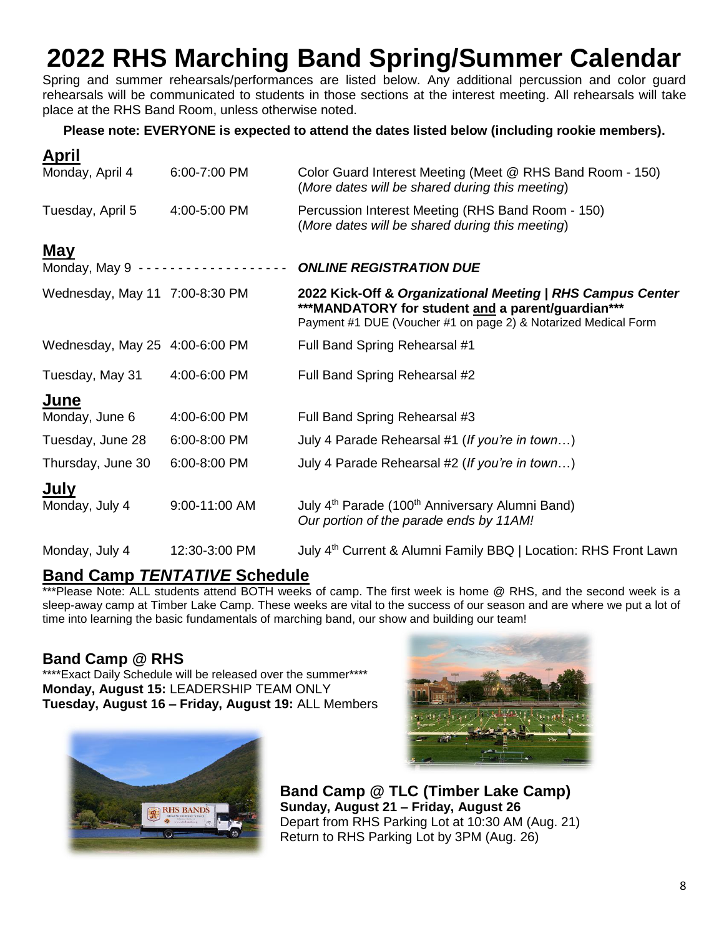## **2022 RHS Marching Band Spring/Summer Calendar**

Spring and summer rehearsals/performances are listed below. Any additional percussion and color guard rehearsals will be communicated to students in those sections at the interest meeting. All rehearsals will take place at the RHS Band Room, unless otherwise noted.

#### **Please note: EVERYONE is expected to attend the dates listed below (including rookie members).**

| APHI                           |               |                                                                                                                                                                                   |  |
|--------------------------------|---------------|-----------------------------------------------------------------------------------------------------------------------------------------------------------------------------------|--|
| Monday, April 4                | 6:00-7:00 PM  | Color Guard Interest Meeting (Meet @ RHS Band Room - 150)<br>(More dates will be shared during this meeting)                                                                      |  |
| Tuesday, April 5               | 4:00-5:00 PM  | Percussion Interest Meeting (RHS Band Room - 150)<br>(More dates will be shared during this meeting)                                                                              |  |
| <u>May</u>                     |               |                                                                                                                                                                                   |  |
|                                |               | <b>ONLINE REGISTRATION DUE</b>                                                                                                                                                    |  |
| Wednesday, May 11 7:00-8:30 PM |               | 2022 Kick-Off & Organizational Meeting   RHS Campus Center<br>***MANDATORY for student and a parent/guardian***<br>Payment #1 DUE (Voucher #1 on page 2) & Notarized Medical Form |  |
| Wednesday, May 25 4:00-6:00 PM |               | Full Band Spring Rehearsal #1                                                                                                                                                     |  |
| Tuesday, May 31                | 4:00-6:00 PM  | Full Band Spring Rehearsal #2                                                                                                                                                     |  |
| June                           |               |                                                                                                                                                                                   |  |
| Monday, June 6                 | 4:00-6:00 PM  | Full Band Spring Rehearsal #3                                                                                                                                                     |  |
| Tuesday, June 28               | 6:00-8:00 PM  | July 4 Parade Rehearsal #1 (If you're in town)                                                                                                                                    |  |
| Thursday, June 30              | 6:00-8:00 PM  | July 4 Parade Rehearsal #2 (If you're in town)                                                                                                                                    |  |
| July                           |               |                                                                                                                                                                                   |  |
| Monday, July 4                 | 9:00-11:00 AM | July 4 <sup>th</sup> Parade (100 <sup>th</sup> Anniversary Alumni Band)<br>Our portion of the parade ends by 11AM!                                                                |  |
| Monday, July 4                 | 12:30-3:00 PM | July 4 <sup>th</sup> Current & Alumni Family BBQ   Location: RHS Front Lawn                                                                                                       |  |

#### **Band Camp** *TENTATIVE* **Schedule**

\*\*\*Please Note: ALL students attend BOTH weeks of camp. The first week is home @ RHS, and the second week is a sleep-away camp at Timber Lake Camp. These weeks are vital to the success of our season and are where we put a lot of time into learning the basic fundamentals of marching band, our show and building our team!

#### **Band Camp @ RHS**

**April**

\*\*\*\*Exact Daily Schedule will be released over the summer\*\*\*\* **Monday, August 15:** LEADERSHIP TEAM ONLY **Tuesday, August 16 – Friday, August 19:** ALL Members





**Band Camp @ TLC (Timber Lake Camp) Sunday, August 21 – Friday, August 26** Depart from RHS Parking Lot at 10:30 AM (Aug. 21) Return to RHS Parking Lot by 3PM (Aug. 26)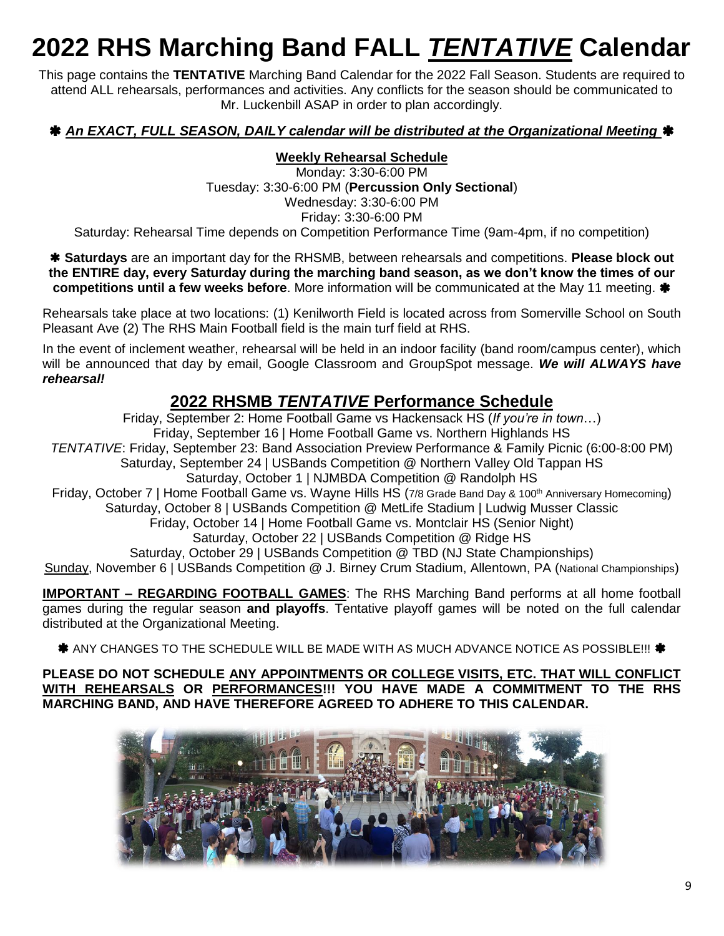## **2022 RHS Marching Band FALL** *TENTATIVE* **Calendar**

This page contains the **TENTATIVE** Marching Band Calendar for the 2022 Fall Season. Students are required to attend ALL rehearsals, performances and activities. Any conflicts for the season should be communicated to Mr. Luckenbill ASAP in order to plan accordingly.

#### *An EXACT, FULL SEASON, DAILY calendar will be distributed at the Organizational Meeting*

#### **Weekly Rehearsal Schedule**

Monday: 3:30-6:00 PM Tuesday: 3:30-6:00 PM (**Percussion Only Sectional**) Wednesday: 3:30-6:00 PM Friday: 3:30-6:00 PM Saturday: Rehearsal Time depends on Competition Performance Time (9am-4pm, if no competition)

 **Saturdays** are an important day for the RHSMB, between rehearsals and competitions. **Please block out the ENTIRE day, every Saturday during the marching band season, as we don't know the times of our competitions until a few weeks before**. More information will be communicated at the May 11 meeting. **\*** 

Rehearsals take place at two locations: (1) Kenilworth Field is located across from Somerville School on South Pleasant Ave (2) The RHS Main Football field is the main turf field at RHS.

In the event of inclement weather, rehearsal will be held in an indoor facility (band room/campus center), which will be announced that day by email, Google Classroom and GroupSpot message. *We will ALWAYS have rehearsal!*

### **2022 RHSMB** *TENTATIVE* **Performance Schedule**

Friday, September 2: Home Football Game vs Hackensack HS (*If you're in town*…) Friday, September 16 | Home Football Game vs. Northern Highlands HS *TENTATIVE*: Friday, September 23: Band Association Preview Performance & Family Picnic (6:00-8:00 PM) Saturday, September 24 | USBands Competition @ Northern Valley Old Tappan HS Saturday, October 1 | NJMBDA Competition @ Randolph HS Friday, October 7 | Home Football Game vs. Wayne Hills HS (7/8 Grade Band Day & 100<sup>th</sup> Anniversary Homecoming) Saturday, October 8 | USBands Competition @ MetLife Stadium | Ludwig Musser Classic Friday, October 14 | Home Football Game vs. Montclair HS (Senior Night) Saturday, October 22 | USBands Competition @ Ridge HS Saturday, October 29 | USBands Competition @ TBD (NJ State Championships) Sunday, November 6 | USBands Competition @ J. Birney Crum Stadium, Allentown, PA (National Championships)

**IMPORTANT – REGARDING FOOTBALL GAMES**: The RHS Marching Band performs at all home football games during the regular season **and playoffs**. Tentative playoff games will be noted on the full calendar distributed at the Organizational Meeting.

\* ANY CHANGES TO THE SCHEDULE WILL BE MADE WITH AS MUCH ADVANCE NOTICE AS POSSIBLE!!! \*

**PLEASE DO NOT SCHEDULE ANY APPOINTMENTS OR COLLEGE VISITS, ETC. THAT WILL CONFLICT WITH REHEARSALS OR PERFORMANCES!!! YOU HAVE MADE A COMMITMENT TO THE RHS MARCHING BAND, AND HAVE THEREFORE AGREED TO ADHERE TO THIS CALENDAR.**